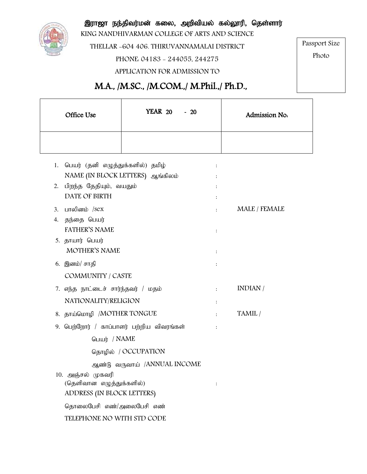

இராஜா நந்திவர்மன் கலை, அறிவியல் கல்லூரி, தெள்ளார்

KING NANDHIVARMAN COLLEGE OF ARTS AND SCIENCE

THELLAR -604 406. THIRUVANNAMALAI DISTRICT

PHONE: 04183 - 244055, 244275

Passport Size

Photo

 $\blacksquare$ 

APPLICATION FOR ADMISSION TO

# M.A., /M.SC., /M.COM.,/ M.Phil.,/ Ph.D.,

| Office Use                                                                  | <b>YEAR 20</b><br>$-20$                  | Admission No.                                                |
|-----------------------------------------------------------------------------|------------------------------------------|--------------------------------------------------------------|
|                                                                             |                                          |                                                              |
| பெயர் (தனி எழுத்துக்களில்) தமிழ்<br>1.<br>NAME (IN BLOCK LETTERS) ஆங்கிலம்  |                                          | $\ddot{\cdot}$                                               |
| 2. பிறந்த தேதியும், வயதும்<br>DATE OF BIRTH                                 |                                          | $\ddot{\cdot}$                                               |
| பாலினம் /sex<br>3.<br>தந்தை பெயர்<br>4.<br><b>FATHER'S NAME</b>             |                                          | $\ddot{\cdot}$<br>MALE / FEMALE<br>$\cdot$<br>$\ddot{\cdot}$ |
| 5. தாயார் பெயர்<br><b>MOTHER'S NAME</b>                                     |                                          | $\ddot{\cdot}$                                               |
| 6. இனம்/ சாதி                                                               | COMMUNITY / CASTE                        |                                                              |
| 7. எந்த நாட்டைச் சார்ந்தவர் / மதம்<br>NATIONALITY/RELIGION                  |                                          | INDIAN /<br>$\ddot{\phantom{a}}$<br>$\ddot{\phantom{a}}$     |
| 8. தாய்மொழி /MOTHER TONGUE                                                  |                                          | TAMIL /<br>$\ddot{\phantom{a}}$                              |
|                                                                             | 9. பெற்றோர் / காப்பாளர் பற்றிய விவரங்கள் |                                                              |
| பெயர் / NAME                                                                |                                          |                                                              |
|                                                                             | தொழில் / OCCUPATION                      |                                                              |
|                                                                             | ஆண்டு வருவாய் /ANNUAL INCOME             |                                                              |
| 10. அஞ்சல் முகவரி<br>(தெளிவான எழுத்துக்களில்)<br>ADDRESS (IN BLOCK LETTERS) |                                          | $\ddot{\cdot}$                                               |
| தொலைபேசி எண்/அலைபேசி எண்                                                    |                                          |                                                              |
| TELEPHONE NO WITH STD CODE                                                  |                                          |                                                              |